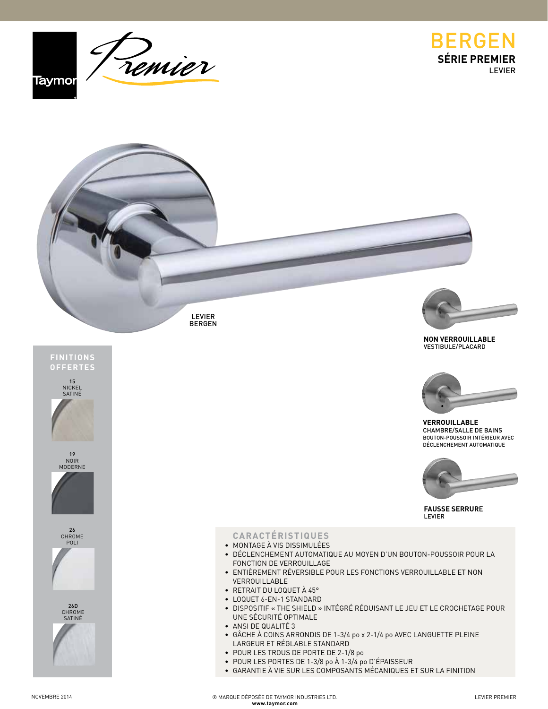





LEVIER **BERGEN** 









## **CARACTÉRISTIQUES**

- MONTAGE À VIS DISSIMULÉES
- DÉCLENCHEMENT AUTOMATIQUE AU MOYEN D'UN BOUTON-POUSSOIR POUR LA FONCTION DE VERROUILLAGE
- ENTIÈREMENT RÉVERSIBLE POUR LES FONCTIONS VERROUILLABLE ET NON VERROUILLABLE
- RETRAIT DU LOQUET À 45°
- LOQUET 6-EN-1 STANDARD
- DISPOSITIF « THE SHIELD » INTÉGRÉ RÉDUISANT LE JEU ET LE CROCHETAGE POUR UNE SÉCURITÉ OPTIMALE
- ANSI DE QUALITÉ 3
- GÂCHE À COINS ARRONDIS DE 1-3/4 po x 2-1/4 po AVEC LANGUETTE PLEINE LARGEUR ET RÉGLABLE STANDARD
- POUR LES TROUS DE PORTE DE 2-1/8 po
- POUR LES PORTES DE 1-3/8 po À 1-3/4 po D'ÉPAISSEUR
- GARANTIE À VIE SUR LES COMPOSANTS MÉCANIQUES ET SUR LA FINITION



**NON VERROUILLABLE** VESTIBULE/PLACARD



**VERROUILLABLE** CHAMBRE/SALLE DE BAINS BOUTON-POUSSOIR INTÉRIEUR AVEC DÉCLENCHEMENT AUTOMATIQUE



**FAUSSE SERRUR**E LEVIER